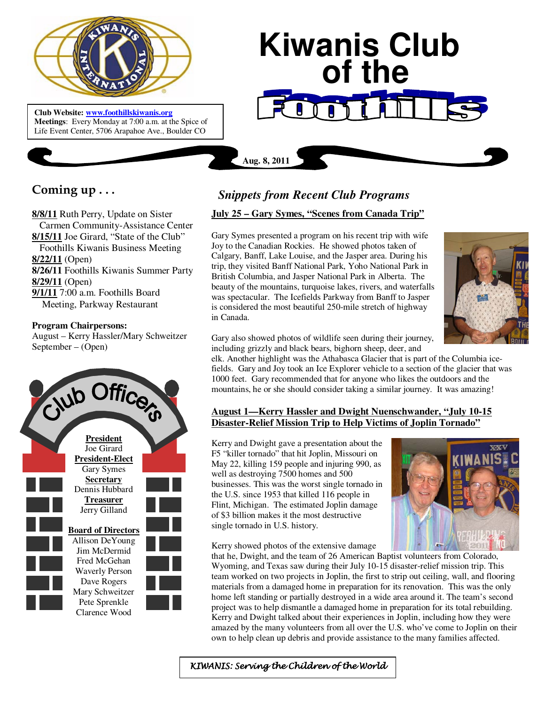

**Club Website: www.foothillskiwanis.org Meetings**: Every Monday at 7:00 a.m. at the Spice of Life Event Center, 5706 Arapahoe Ave., Boulder CO

# **Kiwanis Club of the**

**Coming up . . .** 

**8/8/11** Ruth Perry, Update on Sister Carmen Community-Assistance Center **8/15/11** Joe Girard, "State of the Club" Foothills Kiwanis Business Meeting **8/22/11** (Open) **8/26/11** Foothills Kiwanis Summer Party **8/29/11** (Open) **9/1/11** 7:00 a.m. Foothills Board Meeting, Parkway Restaurant

#### **Program Chairpersons:**

August – Kerry Hassler/Mary Schweitzer September – (Open)



# *Snippets from Recent Club Programs*

**Aug. 8, 2011**

# **July 25 – Gary Symes, "Scenes from Canada Trip"**

Gary Symes presented a program on his recent trip with wife Joy to the Canadian Rockies. He showed photos taken of Calgary, Banff, Lake Louise, and the Jasper area. During his trip, they visited Banff National Park, Yoho National Park in British Columbia, and Jasper National Park in Alberta. The beauty of the mountains, turquoise lakes, rivers, and waterfalls was spectacular. The Icefields Parkway from Banff to Jasper is considered the most beautiful 250-mile stretch of highway in Canada.



Gary also showed photos of wildlife seen during their journey, including grizzly and black bears, bighorn sheep, deer, and

elk. Another highlight was the Athabasca Glacier that is part of the Columbia icefields. Gary and Joy took an Ice Explorer vehicle to a section of the glacier that was 1000 feet. Gary recommended that for anyone who likes the outdoors and the mountains, he or she should consider taking a similar journey. It was amazing!

# **August 1—Kerry Hassler and Dwight Nuenschwander, "July 10-15 Disaster-Relief Mission Trip to Help Victims of Joplin Tornado"**

Kerry and Dwight gave a presentation about the F5 "killer tornado" that hit Joplin, Missouri on May 22, killing 159 people and injuring 990, as well as destroying 7500 homes and 500 businesses. This was the worst single tornado in the U.S. since 1953 that killed 116 people in Flint, Michigan. The estimated Joplin damage of \$3 billion makes it the most destructive single tornado in U.S. history.



Kerry showed photos of the extensive damage that he, Dwight, and the team of 26 American Baptist volunteers from Colorado, Wyoming, and Texas saw during their July 10-15 disaster-relief mission trip. This team worked on two projects in Joplin, the first to strip out ceiling, wall, and flooring materials from a damaged home in preparation for its renovation. This was the only home left standing or partially destroyed in a wide area around it. The team's second project was to help dismantle a damaged home in preparation for its total rebuilding. Kerry and Dwight talked about their experiences in Joplin, including how they were amazed by the many volunteers from all over the U.S. who've come to Joplin on their own to help clean up debris and provide assistance to the many families affected.